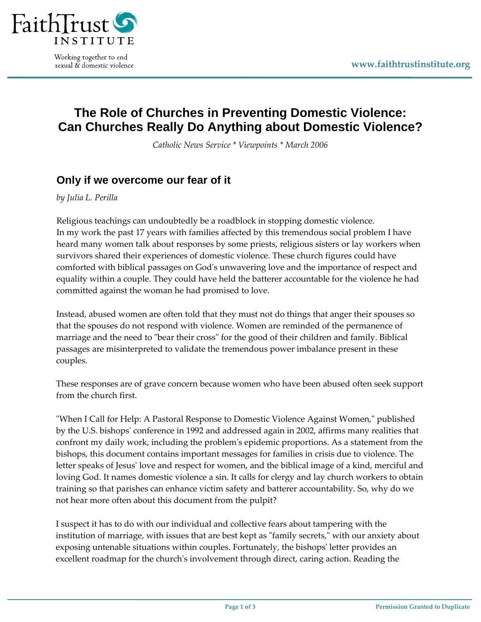

Working together to end sexual & domestic violence

## **The Role of Churches in Preventing Domestic Violence: Can Churches Really Do Anything about Domestic Violence?**

*Catholic News Service \* Viewpoints \* March 2006*

## **Only if we overcome our fear of it**

*by Julia L. Perilla*

Religious teachings can undoubtedly be a roadblock in stopping domestic violence. In my work the past 17 years with families affected by this tremendous social problem I have heard many women talk about responses by some priests, religious sisters or lay workers when survivors shared their experiences of domestic violence. These church figures could have comforted with biblical passages on Godʹs unwavering love and the importance of respect and equality within a couple. They could have held the batterer accountable for the violence he had committed against the woman he had promised to love.

Instead, abused women are often told that they must not do things that anger their spouses so that the spouses do not respond with violence. Women are reminded of the permanence of marriage and the need to "bear their cross" for the good of their children and family. Biblical passages are misinterpreted to validate the tremendous power imbalance present in these couples.

These responses are of grave concern because women who have been abused often seek support from the church first.

"When I Call for Help: A Pastoral Response to Domestic Violence Against Women," published by the U.S. bishopsʹ conference in 1992 and addressed again in 2002, affirms many realities that confront my daily work, including the problemʹs epidemic proportions. As a statement from the bishops, this document contains important messages for families in crisis due to violence. The letter speaks of Jesusʹ love and respect for women, and the biblical image of a kind, merciful and loving God. It names domestic violence a sin. It calls for clergy and lay church workers to obtain training so that parishes can enhance victim safety and batterer accountability. So, why do we not hear more often about this document from the pulpit?

I suspect it has to do with our individual and collective fears about tampering with the institution of marriage, with issues that are best kept as "family secrets," with our anxiety about exposing untenable situations within couples. Fortunately, the bishops' letter provides an excellent roadmap for the church's involvement through direct, caring action. Reading the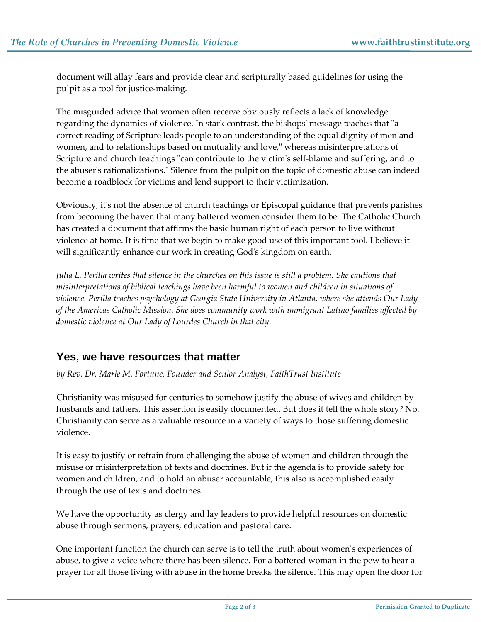document will allay fears and provide clear and scripturally based guidelines for using the pulpit as a tool for justice‐making.

The misguided advice that women often receive obviously reflects a lack of knowledge regarding the dynamics of violence. In stark contrast, the bishops' message teaches that "a correct reading of Scripture leads people to an understanding of the equal dignity of men and women, and to relationships based on mutuality and love," whereas misinterpretations of Scripture and church teachings "can contribute to the victim's self-blame and suffering, and to the abuser's rationalizations." Silence from the pulpit on the topic of domestic abuse can indeed become a roadblock for victims and lend support to their victimization.

Obviously, itʹs not the absence of church teachings or Episcopal guidance that prevents parishes from becoming the haven that many battered women consider them to be. The Catholic Church has created a document that affirms the basic human right of each person to live without violence at home. It is time that we begin to make good use of this important tool. I believe it will significantly enhance our work in creating God's kingdom on earth.

Julia L. Perilla writes that silence in the churches on this issue is still a problem. She cautions that *misinterpretations of biblical teachings have been harmful to women and children in situations of violence. Perilla teaches psychology at Georgia State University in Atlanta, where she attends Our Lady of the Americas Catholic Mission. She does community work with immigrant Latino families affected by domestic violence at Our Lady of Lourdes Church in that city.*

## **Yes, we have resources that matter**

*by Rev. Dr. Marie M. Fortune, Founder and Senior Analyst, FaithTrust Institute*

Christianity was misused for centuries to somehow justify the abuse of wives and children by husbands and fathers. This assertion is easily documented. But does it tell the whole story? No. Christianity can serve as a valuable resource in a variety of ways to those suffering domestic violence.

It is easy to justify or refrain from challenging the abuse of women and children through the misuse or misinterpretation of texts and doctrines. But if the agenda is to provide safety for women and children, and to hold an abuser accountable, this also is accomplished easily through the use of texts and doctrines.

We have the opportunity as clergy and lay leaders to provide helpful resources on domestic abuse through sermons, prayers, education and pastoral care.

One important function the church can serve is to tell the truth about women's experiences of abuse, to give a voice where there has been silence. For a battered woman in the pew to hear a prayer for all those living with abuse in the home breaks the silence. This may open the door for